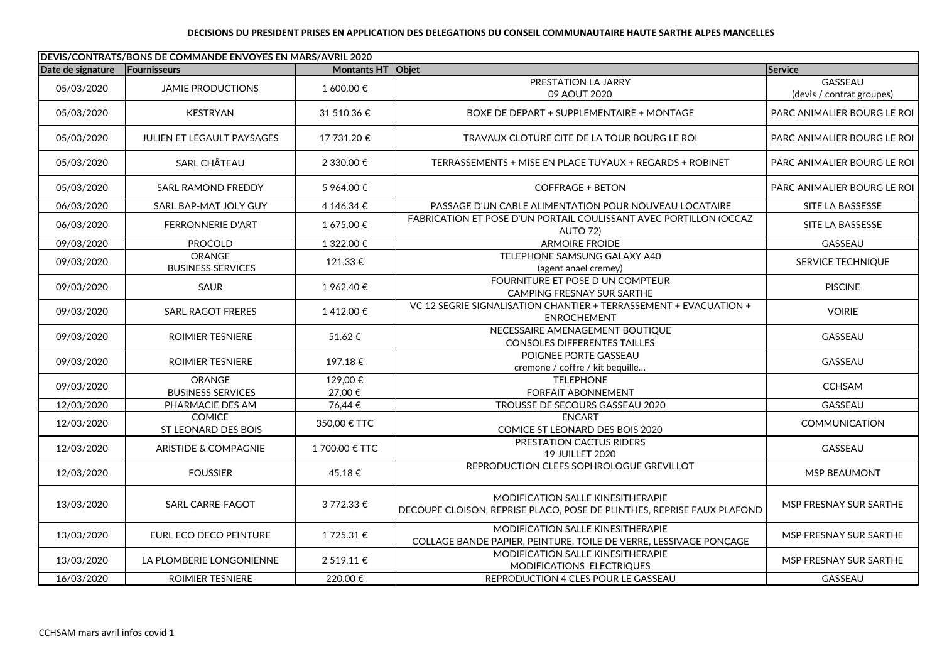## **DECISIONS DU PRESIDENT PRISES EN APPLICATION DES DELEGATIONS DU CONSEIL COMMUNAUTAIRE HAUTE SARTHE ALPES MANCELLES**

| DEVIS/CONTRATS/BONS DE COMMANDE ENVOYES EN MARS/AVRIL 2020 |                                      |                      |                                                                                                                    |                                             |
|------------------------------------------------------------|--------------------------------------|----------------------|--------------------------------------------------------------------------------------------------------------------|---------------------------------------------|
| Date de signature                                          | Fournisseurs                         | Montants HT Objet    |                                                                                                                    | Service                                     |
| 05/03/2020                                                 | <b>JAMIE PRODUCTIONS</b>             | 1 600.00 €           | PRESTATION LA JARRY<br>09 AOUT 2020                                                                                | <b>GASSEAU</b><br>(devis / contrat groupes) |
| 05/03/2020                                                 | <b>KESTRYAN</b>                      | 31 510.36 €          | BOXE DE DEPART + SUPPLEMENTAIRE + MONTAGE                                                                          | PARC ANIMALIER BOURG LE ROI                 |
| 05/03/2020                                                 | <b>JULIEN ET LEGAULT PAYSAGES</b>    | 17 731.20 €          | TRAVAUX CLOTURE CITE DE LA TOUR BOURG LE ROI                                                                       | PARC ANIMALIER BOURG LE ROI                 |
| 05/03/2020                                                 | SARL CHÂTEAU                         | 2 330.00 €           | TERRASSEMENTS + MISE EN PLACE TUYAUX + REGARDS + ROBINET                                                           | PARC ANIMALIER BOURG LE ROI                 |
| 05/03/2020                                                 | SARL RAMOND FREDDY                   | 5 964.00 €           | <b>COFFRAGE + BETON</b>                                                                                            | PARC ANIMALIER BOURG LE ROI                 |
| 06/03/2020                                                 | SARL BAP-MAT JOLY GUY                | 4 146.34 €           | PASSAGE D'UN CABLE ALIMENTATION POUR NOUVEAU LOCATAIRE                                                             | SITE LA BASSESSE                            |
| 06/03/2020                                                 | <b>FERRONNERIE D'ART</b>             | 1 675.00 €           | FABRICATION ET POSE D'UN PORTAIL COULISSANT AVEC PORTILLON (OCCAZ<br>AUTO 72)                                      | SITE LA BASSESSE                            |
| 09/03/2020                                                 | <b>PROCOLD</b>                       | 1 322.00 €           | <b>ARMOIRE FROIDE</b>                                                                                              | GASSEAU                                     |
| 09/03/2020                                                 | ORANGE<br><b>BUSINESS SERVICES</b>   | 121.33€              | TELEPHONE SAMSUNG GALAXY A40<br>(agent anael cremey)                                                               | SERVICE TECHNIQUE                           |
| 09/03/2020                                                 | <b>SAUR</b>                          | 1962.40€             | FOURNITURE ET POSE D UN COMPTEUR<br>CAMPING FRESNAY SUR SARTHE                                                     | <b>PISCINE</b>                              |
| 09/03/2020                                                 | <b>SARL RAGOT FRERES</b>             | 1412.00€             | VC 12 SEGRIE SIGNALISATION CHANTIER + TERRASSEMENT + EVACUATION +<br><b>ENROCHEMENT</b>                            | <b>VOIRIE</b>                               |
| 09/03/2020                                                 | <b>ROIMIER TESNIERE</b>              | 51.62€               | NECESSAIRE AMENAGEMENT BOUTIQUE<br><b>CONSOLES DIFFERENTES TAILLES</b>                                             | GASSEAU                                     |
| 09/03/2020                                                 | <b>ROIMIER TESNIERE</b>              | 197.18€              | POIGNEE PORTE GASSEAU<br>cremone / coffre / kit bequille                                                           | GASSEAU                                     |
| 09/03/2020                                                 | ORANGE<br><b>BUSINESS SERVICES</b>   | $129,00$ €<br>27,00€ | <b>TELEPHONE</b><br><b>FORFAIT ABONNEMENT</b>                                                                      | <b>CCHSAM</b>                               |
| 12/03/2020                                                 | PHARMACIE DES AM                     | 76,44€               | TROUSSE DE SECOURS GASSEAU 2020                                                                                    | <b>GASSEAU</b>                              |
| 12/03/2020                                                 | <b>COMICE</b><br>ST LEONARD DES BOIS | 350,00 € TTC         | <b>ENCART</b><br>COMICE ST LEONARD DES BOIS 2020                                                                   | <b>COMMUNICATION</b>                        |
| 12/03/2020                                                 | ARISTIDE & COMPAGNIE                 | 1700.00 € TTC        | PRESTATION CACTUS RIDERS<br>19 JUILLET 2020                                                                        | GASSEAU                                     |
| 12/03/2020                                                 | <b>FOUSSIER</b>                      | 45.18€               | REPRODUCTION CLEFS SOPHROLOGUE GREVILLOT                                                                           | MSP BEAUMONT                                |
| 13/03/2020                                                 | SARL CARRE-FAGOT                     | 3 772.33 €           | <b>MODIFICATION SALLE KINESITHERAPIE</b><br>DECOUPE CLOISON, REPRISE PLACO, POSE DE PLINTHES, REPRISE FAUX PLAFOND | MSP FRESNAY SUR SARTHE                      |
| 13/03/2020                                                 | EURL ECO DECO PEINTURE               | 1725.31€             | MODIFICATION SALLE KINESITHERAPIE<br>COLLAGE BANDE PAPIER, PEINTURE, TOILE DE VERRE, LESSIVAGE PONCAGE             | MSP FRESNAY SUR SARTHE                      |
| 13/03/2020                                                 | LA PLOMBERIE LONGONIENNE             | 2 519.11 €           | MODIFICATION SALLE KINESITHERAPIE<br>MODIFICATIONS ELECTRIQUES                                                     | MSP FRESNAY SUR SARTHE                      |
| 16/03/2020                                                 | ROIMIER TESNIERE                     | 220.00€              | REPRODUCTION 4 CLES POUR LE GASSEAU                                                                                | <b>GASSEAU</b>                              |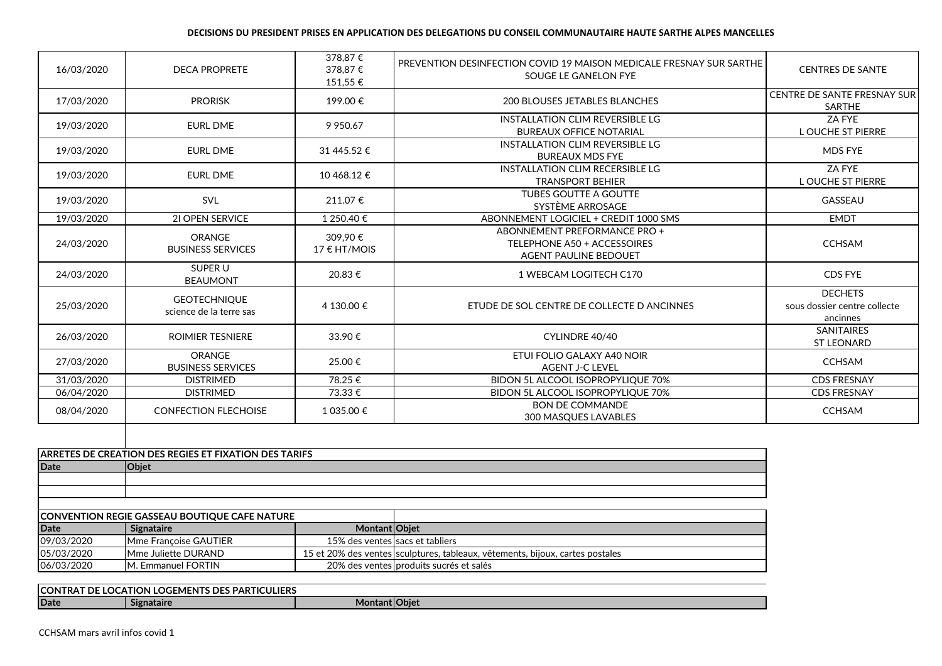## **DECISIONS DU PRESIDENT PRISES EN APPLICATION DES DELEGATIONS DU CONSEIL COMMUNAUTAIRE HAUTE SARTHE ALPES MANCELLES**

| 16/03/2020 | <b>DECA PROPRETE</b>                           | 378,87€<br>378.87€<br>151,55 € | PREVENTION DESINFECTION COVID 19 MAISON MEDICALE FRESNAY SUR SARTHE<br>SOUGE LE GANELON FYE | <b>CENTRES DE SANTE</b>                                    |
|------------|------------------------------------------------|--------------------------------|---------------------------------------------------------------------------------------------|------------------------------------------------------------|
| 17/03/2020 | <b>PRORISK</b>                                 | 199.00€                        | <b>200 BLOUSES JETABLES BLANCHES</b>                                                        | CENTRE DE SANTE FRESNAY SUR<br><b>SARTHE</b>               |
| 19/03/2020 | <b>EURL DME</b>                                | 9 9 5 0.67                     | <b>INSTALLATION CLIM REVERSIBLE LG</b><br><b>BUREAUX OFFICE NOTARIAL</b>                    | ZA FYE<br><b>L OUCHE ST PIERRE</b>                         |
| 19/03/2020 | <b>EURL DME</b>                                | 31 445.52 €                    | <b>INSTALLATION CLIM REVERSIBLE LG</b><br><b>BUREAUX MDS FYE</b>                            | <b>MDS FYE</b>                                             |
| 19/03/2020 | <b>EURL DME</b>                                | 10 468.12 €                    | INSTALLATION CLIM RECERSIBLE LG<br><b>TRANSPORT BEHIER</b>                                  | ZA FYE<br><b>L OUCHE ST PIERRE</b>                         |
| 19/03/2020 | <b>SVL</b>                                     | 211.07€                        | <b>TUBES GOUTTE A GOUTTE</b><br>SYSTÈME ARROSAGE                                            | GASSEAU                                                    |
| 19/03/2020 | 21 OPEN SERVICE                                | 1 250.40 €                     | ABONNEMENT LOGICIEL + CREDIT 1000 SMS                                                       | <b>EMDT</b>                                                |
| 24/03/2020 | <b>ORANGE</b><br><b>BUSINESS SERVICES</b>      | 309.90€<br>$17 \in H T/MOIS$   | ABONNEMENT PREFORMANCE PRO +<br>TELEPHONE A50 + ACCESSOIRES<br><b>AGENT PAULINE BEDOUET</b> | <b>CCHSAM</b>                                              |
| 24/03/2020 | SUPER U<br><b>BEAUMONT</b>                     | 20.83€                         | 1 WEBCAM LOGITECH C170                                                                      | CDS FYE                                                    |
| 25/03/2020 | <b>GEOTECHNIQUE</b><br>science de la terre sas | 4 130.00 €                     | ETUDE DE SOL CENTRE DE COLLECTE D ANCINNES                                                  | <b>DECHETS</b><br>sous dossier centre collecte<br>ancinnes |
| 26/03/2020 | <b>ROIMIER TESNIERE</b>                        | 33.90€                         | CYLINDRE 40/40                                                                              | <b>SANITAIRES</b><br><b>ST LEONARD</b>                     |
| 27/03/2020 | <b>ORANGE</b><br><b>BUSINESS SERVICES</b>      | 25.00€                         | ETUI FOLIO GALAXY A40 NOIR<br><b>AGENT J-C LEVEL</b>                                        | <b>CCHSAM</b>                                              |
| 31/03/2020 | <b>DISTRIMED</b>                               | 78.25€                         | BIDON 5L ALCOOL ISOPROPYLIQUE 70%                                                           | <b>CDS FRESNAY</b>                                         |
| 06/04/2020 | <b>DISTRIMED</b>                               | 73.33 €                        | BIDON 5L ALCOOL ISOPROPYLIQUE 70%                                                           | <b>CDS FRESNAY</b>                                         |
| 08/04/2020 | <b>CONFECTION FLECHOISE</b>                    | 1 035.00 €                     | <b>BON DE COMMANDE</b><br>300 MASQUES LAVABLES                                              | <b>CCHSAM</b>                                              |

|             | <b>ARRETES DE CREATION DES REGIES ET FIXATION DES TARIFS</b> |  |  |  |
|-------------|--------------------------------------------------------------|--|--|--|
| <b>Date</b> | <b>Objet</b>                                                 |  |  |  |
|             |                                                              |  |  |  |
|             |                                                              |  |  |  |
|             |                                                              |  |  |  |
|             |                                                              |  |  |  |

|            | CONVENTION REGIE GASSEAU BOUTIQUE CAFE NATURE |                                 |                                                                               |
|------------|-----------------------------------------------|---------------------------------|-------------------------------------------------------------------------------|
| Date       | Signataire                                    | <b>Montant Obiet</b>            |                                                                               |
| 09/03/2020 | <b>IMme Francoise GAUTIER</b>                 | 15% des ventes sacs et tabliers |                                                                               |
| 05/03/2020 | <b>IMme Juliette DURAND</b>                   |                                 | 15 et 20% des ventes sculptures, tableaux, vêtements, bijoux, cartes postales |
| 06/03/2020 | <b>IM. Emmanuel FORTIN</b>                    |                                 | 20% des ventes produits sucrés et salés                                       |

| <b>S PARTICULIERS</b><br><b>ICON</b><br>N LOGEMENTS DES I<br>DE<br>:ATION I<br>. RAJ<br>LUC/ |            |                       |  |  |
|----------------------------------------------------------------------------------------------|------------|-----------------------|--|--|
| <b>IDate</b>                                                                                 | Signataire | <b>Montant IObiet</b> |  |  |